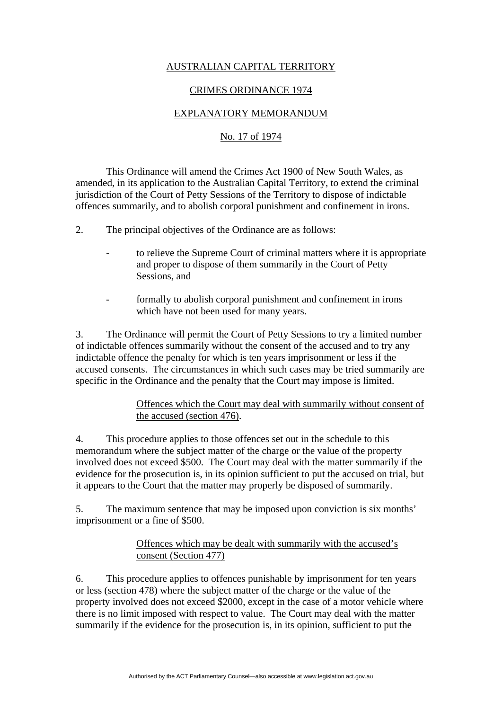# AUSTRALIAN CAPITAL TERRITORY

#### CRIMES ORDINANCE 1974

# EXPLANATORY MEMORANDUM

### No. 17 of 1974

 This Ordinance will amend the Crimes Act 1900 of New South Wales, as amended, in its application to the Australian Capital Territory, to extend the criminal jurisdiction of the Court of Petty Sessions of the Territory to dispose of indictable offences summarily, and to abolish corporal punishment and confinement in irons.

2. The principal objectives of the Ordinance are as follows:

- to relieve the Supreme Court of criminal matters where it is appropriate and proper to dispose of them summarily in the Court of Petty Sessions, and
- formally to abolish corporal punishment and confinement in irons which have not been used for many years.

3. The Ordinance will permit the Court of Petty Sessions to try a limited number of indictable offences summarily without the consent of the accused and to try any indictable offence the penalty for which is ten years imprisonment or less if the accused consents. The circumstances in which such cases may be tried summarily are specific in the Ordinance and the penalty that the Court may impose is limited.

## Offences which the Court may deal with summarily without consent of the accused (section 476).

4. This procedure applies to those offences set out in the schedule to this memorandum where the subject matter of the charge or the value of the property involved does not exceed \$500. The Court may deal with the matter summarily if the evidence for the prosecution is, in its opinion sufficient to put the accused on trial, but it appears to the Court that the matter may properly be disposed of summarily.

5. The maximum sentence that may be imposed upon conviction is six months' imprisonment or a fine of \$500.

# Offences which may be dealt with summarily with the accused's consent (Section 477)

6. This procedure applies to offences punishable by imprisonment for ten years or less (section 478) where the subject matter of the charge or the value of the property involved does not exceed \$2000, except in the case of a motor vehicle where there is no limit imposed with respect to value. The Court may deal with the matter summarily if the evidence for the prosecution is, in its opinion, sufficient to put the